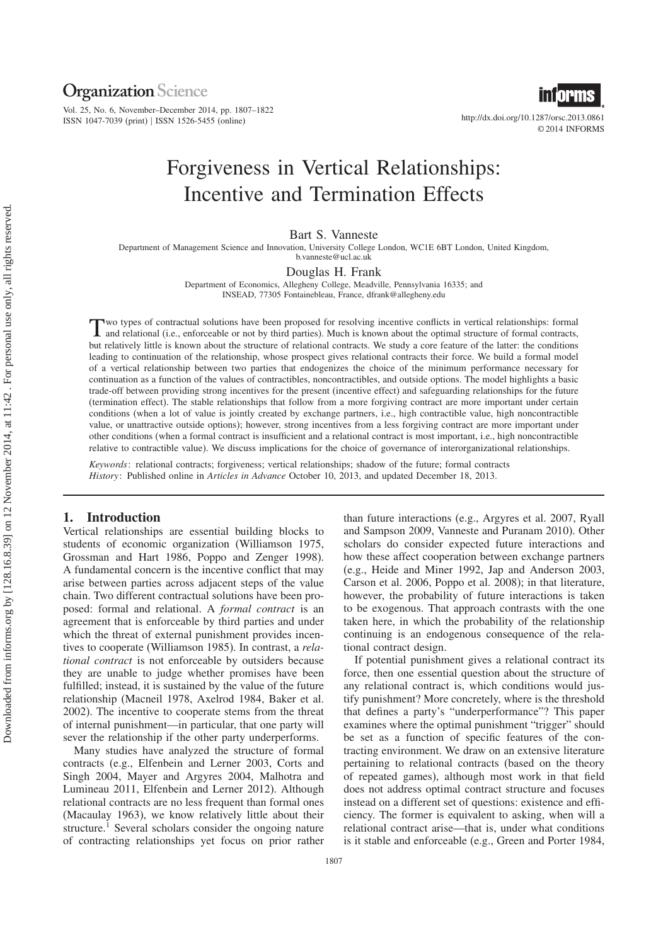

**Produce**<br>Vol. 25, No. 6, November–December 2014, pp. 1807–1822 ISSN 1047-7039 (print) | ISSN 1526-5455 (online)



http://dx.doi.org/10.1287/orsc.2013.0861 © 2014 INFORMS

# Forgiveness in Vertical Relationships: Incentive and Termination Effects

#### Bart S. Vanneste

Department of Management Science and Innovation, University College London, WC1E 6BT London, United Kingdom, b.vanneste@ucl.ac.uk

#### Douglas H. Frank

Department of Economics, Allegheny College, Meadville, Pennsylvania 16335; and INSEAD, 77305 Fontainebleau, France, dfrank@allegheny.edu

Two types of contractual solutions have been proposed for resolving incentive conflicts in vertical relationships: formal<br>and relational (i.e., enforceable or not by third parties). Much is known about the optimal structur but relatively little is known about the structure of relational contracts. We study a core feature of the latter: the conditions leading to continuation of the relationship, whose prospect gives relational contracts their force. We build a formal model of a vertical relationship between two parties that endogenizes the choice of the minimum performance necessary for continuation as a function of the values of contractibles, noncontractibles, and outside options. The model highlights a basic trade-off between providing strong incentives for the present (incentive effect) and safeguarding relationships for the future (termination effect). The stable relationships that follow from a more forgiving contract are more important under certain conditions (when a lot of value is jointly created by exchange partners, i.e., high contractible value, high noncontractible value, or unattractive outside options); however, strong incentives from a less forgiving contract are more important under other conditions (when a formal contract is insufficient and a relational contract is most important, i.e., high noncontractible relative to contractible value). We discuss implications for the choice of governance of interorganizational relationships.

*Keywords*: relational contracts; forgiveness; vertical relationships; shadow of the future; formal contracts *History*: Published online in *Articles in Advance* October 10, 2013, and updated December 18, 2013.

## 1. Introduction

Vertical relationships are essential building blocks to students of economic organization (Williamson 1975, Grossman and Hart 1986, Poppo and Zenger 1998). A fundamental concern is the incentive conflict that may arise between parties across adjacent steps of the value chain. Two different contractual solutions have been proposed: formal and relational. A *formal contract* is an agreement that is enforceable by third parties and under which the threat of external punishment provides incentives to cooperate (Williamson 1985). In contrast, a *relational contract* is not enforceable by outsiders because they are unable to judge whether promises have been fulfilled; instead, it is sustained by the value of the future relationship (Macneil 1978, Axelrod 1984, Baker et al. 2002). The incentive to cooperate stems from the threat of internal punishment—in particular, that one party will sever the relationship if the other party underperforms.

Many studies have analyzed the structure of formal contracts (e.g., Elfenbein and Lerner 2003, Corts and Singh 2004, Mayer and Argyres 2004, Malhotra and Lumineau 2011, Elfenbein and Lerner 2012). Although relational contracts are no less frequent than formal ones (Macaulay 1963), we know relatively little about their structure.<sup>1</sup> Several scholars consider the ongoing nature of contracting relationships yet focus on prior rather than future interactions (e.g., Argyres et al. 2007, Ryall and Sampson 2009, Vanneste and Puranam 2010). Other scholars do consider expected future interactions and how these affect cooperation between exchange partners (e.g., Heide and Miner 1992, Jap and Anderson 2003, Carson et al. 2006, Poppo et al. 2008); in that literature, however, the probability of future interactions is taken to be exogenous. That approach contrasts with the one taken here, in which the probability of the relationship continuing is an endogenous consequence of the relational contract design.

If potential punishment gives a relational contract its force, then one essential question about the structure of any relational contract is, which conditions would justify punishment? More concretely, where is the threshold that defines a party's "underperformance"? This paper examines where the optimal punishment "trigger" should be set as a function of specific features of the contracting environment. We draw on an extensive literature pertaining to relational contracts (based on the theory of repeated games), although most work in that field does not address optimal contract structure and focuses instead on a different set of questions: existence and efficiency. The former is equivalent to asking, when will a relational contract arise—that is, under what conditions is it stable and enforceable (e.g., Green and Porter 1984,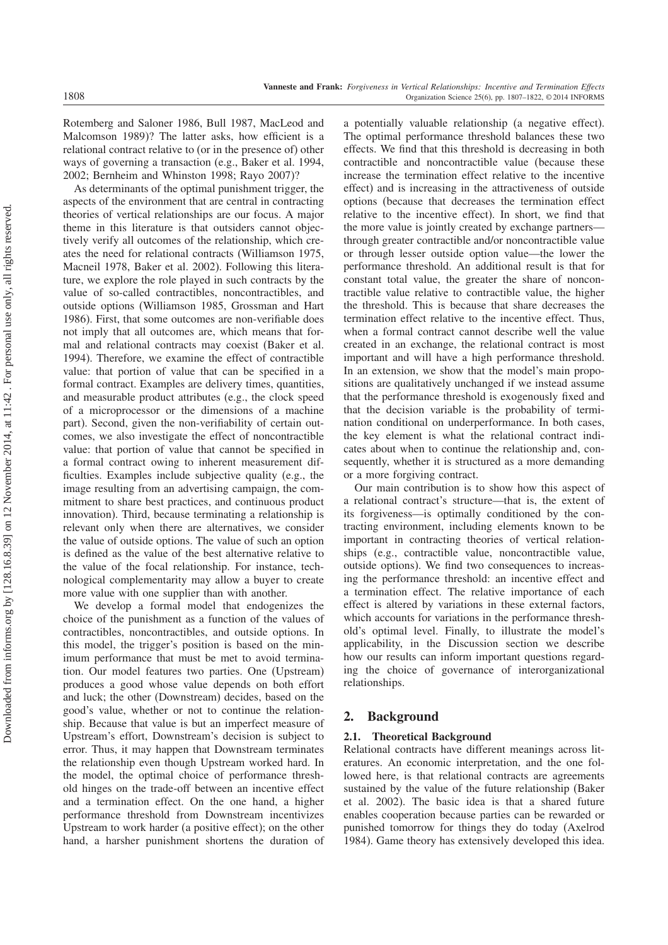Rotemberg and Saloner 1986, Bull 1987, MacLeod and Malcomson 1989)? The latter asks, how efficient is a relational contract relative to (or in the presence of) other ways of governing a transaction (e.g., Baker et al. 1994, 2002; Bernheim and Whinston 1998; Rayo 2007)?

As determinants of the optimal punishment trigger, the aspects of the environment that are central in contracting theories of vertical relationships are our focus. A major theme in this literature is that outsiders cannot objectively verify all outcomes of the relationship, which creates the need for relational contracts (Williamson 1975, Macneil 1978, Baker et al. 2002). Following this literature, we explore the role played in such contracts by the value of so-called contractibles, noncontractibles, and outside options (Williamson 1985, Grossman and Hart 1986). First, that some outcomes are non-verifiable does not imply that all outcomes are, which means that formal and relational contracts may coexist (Baker et al. 1994). Therefore, we examine the effect of contractible value: that portion of value that can be specified in a formal contract. Examples are delivery times, quantities, and measurable product attributes (e.g., the clock speed of a microprocessor or the dimensions of a machine part). Second, given the non-verifiability of certain outcomes, we also investigate the effect of noncontractible value: that portion of value that cannot be specified in a formal contract owing to inherent measurement difficulties. Examples include subjective quality (e.g., the image resulting from an advertising campaign, the commitment to share best practices, and continuous product innovation). Third, because terminating a relationship is relevant only when there are alternatives, we consider the value of outside options. The value of such an option is defined as the value of the best alternative relative to the value of the focal relationship. For instance, technological complementarity may allow a buyer to create more value with one supplier than with another.

We develop a formal model that endogenizes the choice of the punishment as a function of the values of contractibles, noncontractibles, and outside options. In this model, the trigger's position is based on the minimum performance that must be met to avoid termination. Our model features two parties. One (Upstream) produces a good whose value depends on both effort and luck; the other (Downstream) decides, based on the good's value, whether or not to continue the relationship. Because that value is but an imperfect measure of Upstream's effort, Downstream's decision is subject to error. Thus, it may happen that Downstream terminates the relationship even though Upstream worked hard. In the model, the optimal choice of performance threshold hinges on the trade-off between an incentive effect and a termination effect. On the one hand, a higher performance threshold from Downstream incentivizes Upstream to work harder (a positive effect); on the other hand, a harsher punishment shortens the duration of

a potentially valuable relationship (a negative effect). The optimal performance threshold balances these two effects. We find that this threshold is decreasing in both contractible and noncontractible value (because these increase the termination effect relative to the incentive effect) and is increasing in the attractiveness of outside options (because that decreases the termination effect relative to the incentive effect). In short, we find that the more value is jointly created by exchange partners through greater contractible and/or noncontractible value or through lesser outside option value—the lower the performance threshold. An additional result is that for constant total value, the greater the share of noncontractible value relative to contractible value, the higher the threshold. This is because that share decreases the termination effect relative to the incentive effect. Thus, when a formal contract cannot describe well the value created in an exchange, the relational contract is most important and will have a high performance threshold. In an extension, we show that the model's main propositions are qualitatively unchanged if we instead assume that the performance threshold is exogenously fixed and that the decision variable is the probability of termination conditional on underperformance. In both cases, the key element is what the relational contract indicates about when to continue the relationship and, consequently, whether it is structured as a more demanding or a more forgiving contract.

Our main contribution is to show how this aspect of a relational contract's structure—that is, the extent of its forgiveness—is optimally conditioned by the contracting environment, including elements known to be important in contracting theories of vertical relationships (e.g., contractible value, noncontractible value, outside options). We find two consequences to increasing the performance threshold: an incentive effect and a termination effect. The relative importance of each effect is altered by variations in these external factors, which accounts for variations in the performance threshold's optimal level. Finally, to illustrate the model's applicability, in the Discussion section we describe how our results can inform important questions regarding the choice of governance of interorganizational relationships.

# 2. Background

## 2.1. Theoretical Background

Relational contracts have different meanings across literatures. An economic interpretation, and the one followed here, is that relational contracts are agreements sustained by the value of the future relationship (Baker et al. 2002). The basic idea is that a shared future enables cooperation because parties can be rewarded or punished tomorrow for things they do today (Axelrod 1984). Game theory has extensively developed this idea.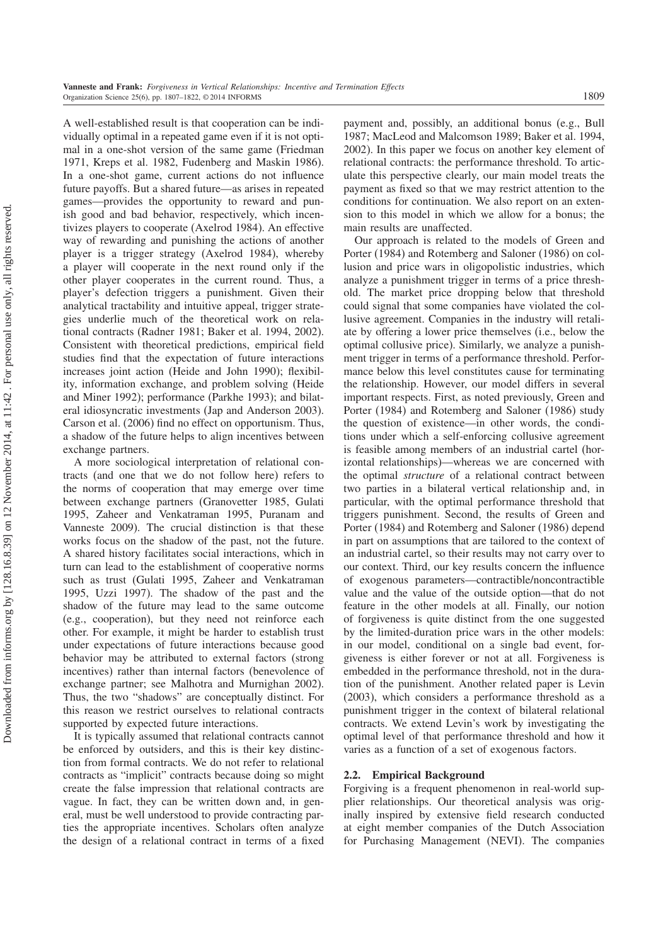A well-established result is that cooperation can be individually optimal in a repeated game even if it is not optimal in a one-shot version of the same game (Friedman 1971, Kreps et al. 1982, Fudenberg and Maskin 1986). In a one-shot game, current actions do not influence future payoffs. But a shared future—as arises in repeated games—provides the opportunity to reward and punish good and bad behavior, respectively, which incentivizes players to cooperate (Axelrod 1984). An effective way of rewarding and punishing the actions of another player is a trigger strategy (Axelrod 1984), whereby a player will cooperate in the next round only if the other player cooperates in the current round. Thus, a player's defection triggers a punishment. Given their analytical tractability and intuitive appeal, trigger strategies underlie much of the theoretical work on relational contracts (Radner 1981; Baker et al. 1994, 2002). Consistent with theoretical predictions, empirical field studies find that the expectation of future interactions increases joint action (Heide and John 1990); flexibility, information exchange, and problem solving (Heide and Miner 1992); performance (Parkhe 1993); and bilateral idiosyncratic investments (Jap and Anderson 2003). Carson et al. (2006) find no effect on opportunism. Thus, a shadow of the future helps to align incentives between exchange partners.

A more sociological interpretation of relational contracts (and one that we do not follow here) refers to the norms of cooperation that may emerge over time between exchange partners (Granovetter 1985, Gulati 1995, Zaheer and Venkatraman 1995, Puranam and Vanneste 2009). The crucial distinction is that these works focus on the shadow of the past, not the future. A shared history facilitates social interactions, which in turn can lead to the establishment of cooperative norms such as trust (Gulati 1995, Zaheer and Venkatraman 1995, Uzzi 1997). The shadow of the past and the shadow of the future may lead to the same outcome (e.g., cooperation), but they need not reinforce each other. For example, it might be harder to establish trust under expectations of future interactions because good behavior may be attributed to external factors (strong incentives) rather than internal factors (benevolence of exchange partner; see Malhotra and Murnighan 2002). Thus, the two "shadows" are conceptually distinct. For this reason we restrict ourselves to relational contracts supported by expected future interactions.

It is typically assumed that relational contracts cannot be enforced by outsiders, and this is their key distinction from formal contracts. We do not refer to relational contracts as "implicit" contracts because doing so might create the false impression that relational contracts are vague. In fact, they can be written down and, in general, must be well understood to provide contracting parties the appropriate incentives. Scholars often analyze the design of a relational contract in terms of a fixed

payment and, possibly, an additional bonus (e.g., Bull 1987; MacLeod and Malcomson 1989; Baker et al. 1994, 2002). In this paper we focus on another key element of relational contracts: the performance threshold. To articulate this perspective clearly, our main model treats the payment as fixed so that we may restrict attention to the conditions for continuation. We also report on an extension to this model in which we allow for a bonus; the main results are unaffected.

Our approach is related to the models of Green and Porter (1984) and Rotemberg and Saloner (1986) on collusion and price wars in oligopolistic industries, which analyze a punishment trigger in terms of a price threshold. The market price dropping below that threshold could signal that some companies have violated the collusive agreement. Companies in the industry will retaliate by offering a lower price themselves (i.e., below the optimal collusive price). Similarly, we analyze a punishment trigger in terms of a performance threshold. Performance below this level constitutes cause for terminating the relationship. However, our model differs in several important respects. First, as noted previously, Green and Porter (1984) and Rotemberg and Saloner (1986) study the question of existence—in other words, the conditions under which a self-enforcing collusive agreement is feasible among members of an industrial cartel (horizontal relationships)—whereas we are concerned with the optimal *structure* of a relational contract between two parties in a bilateral vertical relationship and, in particular, with the optimal performance threshold that triggers punishment. Second, the results of Green and Porter (1984) and Rotemberg and Saloner (1986) depend in part on assumptions that are tailored to the context of an industrial cartel, so their results may not carry over to our context. Third, our key results concern the influence of exogenous parameters—contractible/noncontractible value and the value of the outside option—that do not feature in the other models at all. Finally, our notion of forgiveness is quite distinct from the one suggested by the limited-duration price wars in the other models: in our model, conditional on a single bad event, forgiveness is either forever or not at all. Forgiveness is embedded in the performance threshold, not in the duration of the punishment. Another related paper is Levin (2003), which considers a performance threshold as a punishment trigger in the context of bilateral relational contracts. We extend Levin's work by investigating the optimal level of that performance threshold and how it varies as a function of a set of exogenous factors.

# 2.2. Empirical Background

Forgiving is a frequent phenomenon in real-world supplier relationships. Our theoretical analysis was originally inspired by extensive field research conducted at eight member companies of the Dutch Association for Purchasing Management (NEVI). The companies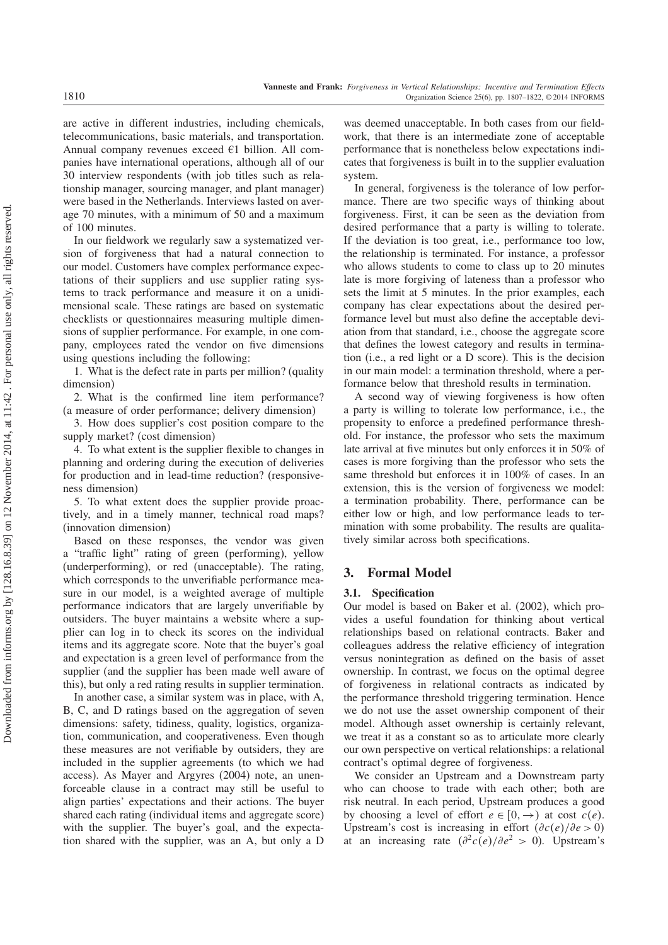are active in different industries, including chemicals, telecommunications, basic materials, and transportation. Annual company revenues exceed  $E1$  billion. All companies have international operations, although all of our 30 interview respondents (with job titles such as relationship manager, sourcing manager, and plant manager) were based in the Netherlands. Interviews lasted on average 70 minutes, with a minimum of 50 and a maximum of 100 minutes.

In our fieldwork we regularly saw a systematized version of forgiveness that had a natural connection to our model. Customers have complex performance expectations of their suppliers and use supplier rating systems to track performance and measure it on a unidimensional scale. These ratings are based on systematic checklists or questionnaires measuring multiple dimensions of supplier performance. For example, in one company, employees rated the vendor on five dimensions using questions including the following:

1. What is the defect rate in parts per million? (quality dimension)

2. What is the confirmed line item performance? (a measure of order performance; delivery dimension)

3. How does supplier's cost position compare to the supply market? (cost dimension)

4. To what extent is the supplier flexible to changes in planning and ordering during the execution of deliveries for production and in lead-time reduction? (responsiveness dimension)

5. To what extent does the supplier provide proactively, and in a timely manner, technical road maps? (innovation dimension)

Based on these responses, the vendor was given a "traffic light" rating of green (performing), yellow (underperforming), or red (unacceptable). The rating, which corresponds to the unverifiable performance measure in our model, is a weighted average of multiple performance indicators that are largely unverifiable by outsiders. The buyer maintains a website where a supplier can log in to check its scores on the individual items and its aggregate score. Note that the buyer's goal and expectation is a green level of performance from the supplier (and the supplier has been made well aware of this), but only a red rating results in supplier termination.

In another case, a similar system was in place, with A, B, C, and D ratings based on the aggregation of seven dimensions: safety, tidiness, quality, logistics, organization, communication, and cooperativeness. Even though these measures are not verifiable by outsiders, they are included in the supplier agreements (to which we had access). As Mayer and Argyres (2004) note, an unenforceable clause in a contract may still be useful to align parties' expectations and their actions. The buyer shared each rating (individual items and aggregate score) with the supplier. The buyer's goal, and the expectation shared with the supplier, was an A, but only a D

was deemed unacceptable. In both cases from our fieldwork, that there is an intermediate zone of acceptable performance that is nonetheless below expectations indicates that forgiveness is built in to the supplier evaluation system.

In general, forgiveness is the tolerance of low performance. There are two specific ways of thinking about forgiveness. First, it can be seen as the deviation from desired performance that a party is willing to tolerate. If the deviation is too great, i.e., performance too low, the relationship is terminated. For instance, a professor who allows students to come to class up to 20 minutes late is more forgiving of lateness than a professor who sets the limit at 5 minutes. In the prior examples, each company has clear expectations about the desired performance level but must also define the acceptable deviation from that standard, i.e., choose the aggregate score that defines the lowest category and results in termination (i.e., a red light or a D score). This is the decision in our main model: a termination threshold, where a performance below that threshold results in termination.

A second way of viewing forgiveness is how often a party is willing to tolerate low performance, i.e., the propensity to enforce a predefined performance threshold. For instance, the professor who sets the maximum late arrival at five minutes but only enforces it in 50% of cases is more forgiving than the professor who sets the same threshold but enforces it in 100% of cases. In an extension, this is the version of forgiveness we model: a termination probability. There, performance can be either low or high, and low performance leads to termination with some probability. The results are qualitatively similar across both specifications.

# 3. Formal Model

## 3.1. Specification

Our model is based on Baker et al. (2002), which provides a useful foundation for thinking about vertical relationships based on relational contracts. Baker and colleagues address the relative efficiency of integration versus nonintegration as defined on the basis of asset ownership. In contrast, we focus on the optimal degree of forgiveness in relational contracts as indicated by the performance threshold triggering termination. Hence we do not use the asset ownership component of their model. Although asset ownership is certainly relevant, we treat it as a constant so as to articulate more clearly our own perspective on vertical relationships: a relational contract's optimal degree of forgiveness.

We consider an Upstream and a Downstream party who can choose to trade with each other; both are risk neutral. In each period, Upstream produces a good by choosing a level of effort  $e \in [0, \rightarrow)$  at cost  $c(e)$ . Upstream's cost is increasing in effort  $(\partial c(e)/\partial e > 0)$ at an increasing rate  $\left(\frac{\partial^2 c(e)}{\partial e^2} > 0\right)$ . Upstream's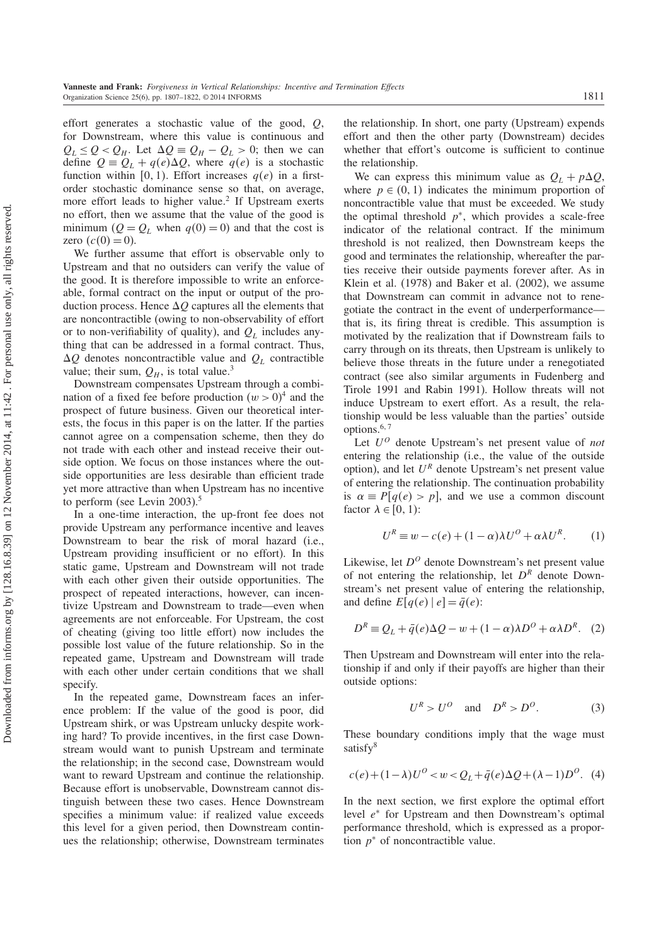effort generates a stochastic value of the good, Q, for Downstream, where this value is continuous and  $Q_L \le Q < Q_H$ . Let  $\Delta Q = Q_H - Q_L > 0$ ; then we can define  $Q = Q_L + q(e)\Delta Q$ , where  $q(e)$  is a stochastic function within [0, 1). Effort increases  $q(e)$  in a firstorder stochastic dominance sense so that, on average, more effort leads to higher value.<sup>2</sup> If Upstream exerts no effort, then we assume that the value of the good is minimum  $(Q = Q_L$  when  $q(0) = 0$ ) and that the cost is zero  $(c(0) = 0)$ .

We further assume that effort is observable only to Upstream and that no outsiders can verify the value of the good. It is therefore impossible to write an enforceable, formal contract on the input or output of the production process. Hence  $\Delta Q$  captures all the elements that are noncontractible (owing to non-observability of effort or to non-verifiability of quality), and  $Q_L$  includes anything that can be addressed in a formal contract. Thus,  $\Delta Q$  denotes noncontractible value and  $Q_L$  contractible value; their sum,  $Q_H$ , is total value.<sup>3</sup>

Downstream compensates Upstream through a combination of a fixed fee before production  $(w > 0)^4$  and the prospect of future business. Given our theoretical interests, the focus in this paper is on the latter. If the parties cannot agree on a compensation scheme, then they do not trade with each other and instead receive their outside option. We focus on those instances where the outside opportunities are less desirable than efficient trade yet more attractive than when Upstream has no incentive to perform (see Levin 2003).<sup>5</sup>

In a one-time interaction, the up-front fee does not provide Upstream any performance incentive and leaves Downstream to bear the risk of moral hazard (i.e., Upstream providing insufficient or no effort). In this static game, Upstream and Downstream will not trade with each other given their outside opportunities. The prospect of repeated interactions, however, can incentivize Upstream and Downstream to trade—even when agreements are not enforceable. For Upstream, the cost of cheating (giving too little effort) now includes the possible lost value of the future relationship. So in the repeated game, Upstream and Downstream will trade with each other under certain conditions that we shall specify.

In the repeated game, Downstream faces an inference problem: If the value of the good is poor, did Upstream shirk, or was Upstream unlucky despite working hard? To provide incentives, in the first case Downstream would want to punish Upstream and terminate the relationship; in the second case, Downstream would want to reward Upstream and continue the relationship. Because effort is unobservable, Downstream cannot distinguish between these two cases. Hence Downstream specifies a minimum value: if realized value exceeds this level for a given period, then Downstream continues the relationship; otherwise, Downstream terminates

the relationship. In short, one party (Upstream) expends effort and then the other party (Downstream) decides whether that effort's outcome is sufficient to continue the relationship.

We can express this minimum value as  $Q_L + p\Delta Q$ , where  $p \in (0, 1)$  indicates the minimum proportion of noncontractible value that must be exceeded. We study the optimal threshold  $p^*$ , which provides a scale-free indicator of the relational contract. If the minimum threshold is not realized, then Downstream keeps the good and terminates the relationship, whereafter the parties receive their outside payments forever after. As in Klein et al. (1978) and Baker et al. (2002), we assume that Downstream can commit in advance not to renegotiate the contract in the event of underperformance that is, its firing threat is credible. This assumption is motivated by the realization that if Downstream fails to carry through on its threats, then Upstream is unlikely to believe those threats in the future under a renegotiated contract (see also similar arguments in Fudenberg and Tirole 1991 and Rabin 1991). Hollow threats will not induce Upstream to exert effort. As a result, the relationship would be less valuable than the parties' outside options.<sup>6,7</sup>

Let  $U^0$  denote Upstream's net present value of *not* entering the relationship (i.e., the value of the outside option), and let  $U^R$  denote Upstream's net present value of entering the relationship. The continuation probability is  $\alpha \equiv P[q(e) > p]$ , and we use a common discount factor  $\lambda \in [0, 1)$ :

$$
U^{R} \equiv w - c(e) + (1 - \alpha)\lambda U^{O} + \alpha\lambda U^{R}.
$$
 (1)

Likewise, let  $D<sup>O</sup>$  denote Downstream's net present value of not entering the relationship, let  $D<sup>R</sup>$  denote Downstream's net present value of entering the relationship, and define  $E[q(e) | e] = \bar{q}(e)$ :

$$
D^{R} \equiv Q_{L} + \bar{q}(e)\Delta Q - w + (1 - \alpha)\lambda D^{O} + \alpha\lambda D^{R}.
$$
 (2)

Then Upstream and Downstream will enter into the relationship if and only if their payoffs are higher than their outside options:

$$
U^R > U^O \quad \text{and} \quad D^R > D^O. \tag{3}
$$

These boundary conditions imply that the wage must satisfy<sup>8</sup>

$$
c(e) + (1 - \lambda)U^{O} < w < Q_L + \bar{q}(e)\Delta Q + (\lambda - 1)D^{O}.\tag{4}
$$

In the next section, we first explore the optimal effort level e<sup>∗</sup> for Upstream and then Downstream's optimal performance threshold, which is expressed as a proportion  $p^*$  of noncontractible value.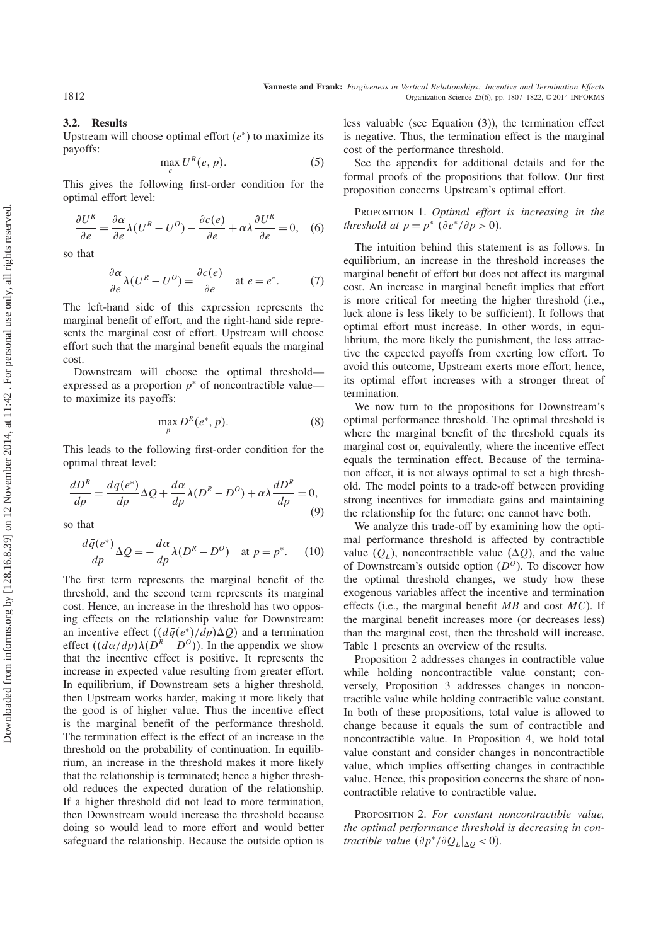### 3.2. Results

Upstream will choose optimal effort  $(e^*)$  to maximize its payoffs:

$$
\max_{e} U^{R}(e, p). \tag{5}
$$

This gives the following first-order condition for the optimal effort level:

$$
\frac{\partial U^R}{\partial e} = \frac{\partial \alpha}{\partial e} \lambda (U^R - U^O) - \frac{\partial c(e)}{\partial e} + \alpha \lambda \frac{\partial U^R}{\partial e} = 0, \quad (6)
$$

so that

$$
\frac{\partial \alpha}{\partial e} \lambda (U^R - U^O) = \frac{\partial c(e)}{\partial e} \quad \text{at } e = e^*.
$$
 (7)

The left-hand side of this expression represents the marginal benefit of effort, and the right-hand side represents the marginal cost of effort. Upstream will choose effort such that the marginal benefit equals the marginal cost.

Downstream will choose the optimal threshold expressed as a proportion  $p^*$  of noncontractible value to maximize its payoffs:

$$
\max_{p} D^{R}(e^*, p). \tag{8}
$$

This leads to the following first-order condition for the optimal threat level:

$$
\frac{dD^R}{dp} = \frac{d\bar{q}(e^*)}{dp}\Delta Q + \frac{d\alpha}{dp}\lambda(D^R - D^O) + \alpha\lambda \frac{dD^R}{dp} = 0,
$$
\n(9)

so that

$$
\frac{d\bar{q}(e^*)}{dp}\Delta Q = -\frac{d\alpha}{dp}\lambda(D^R - D^O) \quad \text{at } p = p^*.
$$
 (10)

The first term represents the marginal benefit of the threshold, and the second term represents its marginal cost. Hence, an increase in the threshold has two opposing effects on the relationship value for Downstream: an incentive effect  $\left(\frac{d\bar{q}(e^*)}{dp\Delta Q}\right)$  and a termination effect  $\left( \frac{d\alpha}{dp} \right) \lambda (D^R - D^O)$ . In the appendix we show that the incentive effect is positive. It represents the increase in expected value resulting from greater effort. In equilibrium, if Downstream sets a higher threshold, then Upstream works harder, making it more likely that the good is of higher value. Thus the incentive effect is the marginal benefit of the performance threshold. The termination effect is the effect of an increase in the threshold on the probability of continuation. In equilibrium, an increase in the threshold makes it more likely that the relationship is terminated; hence a higher threshold reduces the expected duration of the relationship. If a higher threshold did not lead to more termination, then Downstream would increase the threshold because doing so would lead to more effort and would better safeguard the relationship. Because the outside option is

less valuable (see Equation (3)), the termination effect is negative. Thus, the termination effect is the marginal cost of the performance threshold.

See the appendix for additional details and for the formal proofs of the propositions that follow. Our first proposition concerns Upstream's optimal effort.

Proposition 1. *Optimal effort is increasing in the threshold at*  $p = p^*$  ( $\partial e^* / \partial p > 0$ ).

The intuition behind this statement is as follows. In equilibrium, an increase in the threshold increases the marginal benefit of effort but does not affect its marginal cost. An increase in marginal benefit implies that effort is more critical for meeting the higher threshold (i.e., luck alone is less likely to be sufficient). It follows that optimal effort must increase. In other words, in equilibrium, the more likely the punishment, the less attractive the expected payoffs from exerting low effort. To avoid this outcome, Upstream exerts more effort; hence, its optimal effort increases with a stronger threat of termination.

We now turn to the propositions for Downstream's optimal performance threshold. The optimal threshold is where the marginal benefit of the threshold equals its marginal cost or, equivalently, where the incentive effect equals the termination effect. Because of the termination effect, it is not always optimal to set a high threshold. The model points to a trade-off between providing strong incentives for immediate gains and maintaining the relationship for the future; one cannot have both.

We analyze this trade-off by examining how the optimal performance threshold is affected by contractible value  $(Q_L)$ , noncontractible value  $(\Delta Q)$ , and the value of Downstream's outside option  $(D<sup>o</sup>)$ . To discover how the optimal threshold changes, we study how these exogenous variables affect the incentive and termination effects (i.e., the marginal benefit  $MB$  and cost  $MC$ ). If the marginal benefit increases more (or decreases less) than the marginal cost, then the threshold will increase. Table 1 presents an overview of the results.

Proposition 2 addresses changes in contractible value while holding noncontractible value constant; conversely, Proposition 3 addresses changes in noncontractible value while holding contractible value constant. In both of these propositions, total value is allowed to change because it equals the sum of contractible and noncontractible value. In Proposition 4, we hold total value constant and consider changes in noncontractible value, which implies offsetting changes in contractible value. Hence, this proposition concerns the share of noncontractible relative to contractible value.

Proposition 2. *For constant noncontractible value, the optimal performance threshold is decreasing in contractible value*  $(\partial p^*/\partial Q_L|_{\Delta Q} < 0)$ .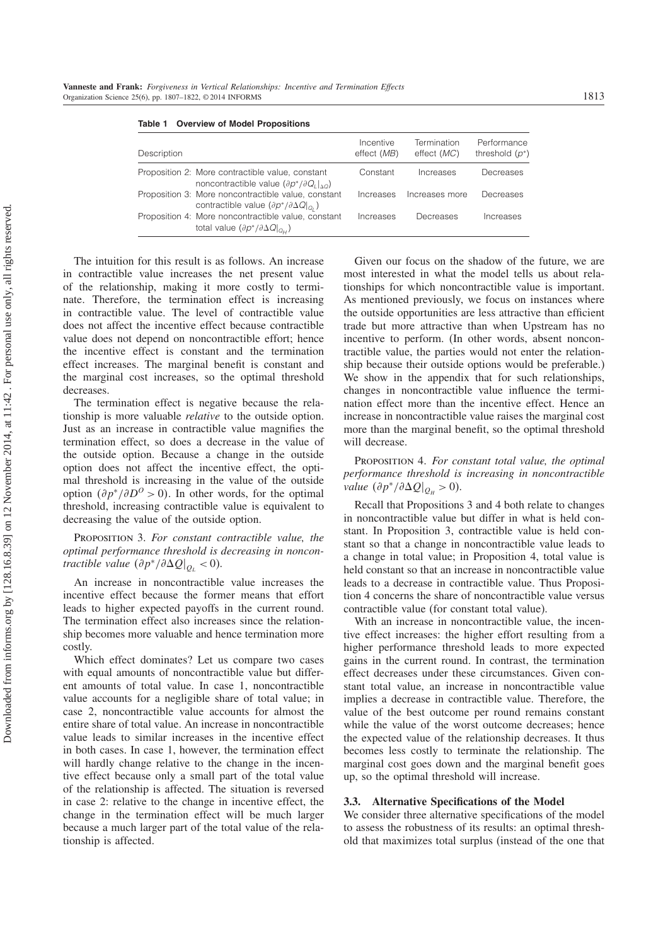| Table I Overview of Model Propositions                                                                                     |                          |                            |                                  |
|----------------------------------------------------------------------------------------------------------------------------|--------------------------|----------------------------|----------------------------------|
| Description                                                                                                                | Incentive<br>effect (MB) | Termination<br>effect (MC) | Performance<br>threshold $(p^*)$ |
| Proposition 2: More contractible value, constant<br>noncontractible value $(\partial p^*/\partial Q_{\iota} _{\Lambda Q})$ | Constant                 | Increases                  | Decreases                        |
| Proposition 3: More noncontractible value, constant<br>contractible value $(\partial p^*/\partial \Delta Q _{Q_i})$        | Increases                | Increases more             | Decreases                        |
| Proposition 4: More noncontractible value, constant<br>total value $(\partial p^*/\partial \Delta Q _{Q_{\mu}})$           | Increases                | Decreases                  | Increases                        |

Table 1 Overview of Model Propositions

The intuition for this result is as follows. An increase in contractible value increases the net present value of the relationship, making it more costly to terminate. Therefore, the termination effect is increasing in contractible value. The level of contractible value does not affect the incentive effect because contractible value does not depend on noncontractible effort; hence the incentive effect is constant and the termination effect increases. The marginal benefit is constant and the marginal cost increases, so the optimal threshold decreases.

The termination effect is negative because the relationship is more valuable *relative* to the outside option. Just as an increase in contractible value magnifies the termination effect, so does a decrease in the value of the outside option. Because a change in the outside option does not affect the incentive effect, the optimal threshold is increasing in the value of the outside option  $(\partial p^*/\partial D^0 > 0)$ . In other words, for the optimal threshold, increasing contractible value is equivalent to decreasing the value of the outside option.

Proposition 3. *For constant contractible value, the optimal performance threshold is decreasing in noncontractible value*  $(\partial p^*/\partial \Delta Q|_{Q_L} < 0)$ .

An increase in noncontractible value increases the incentive effect because the former means that effort leads to higher expected payoffs in the current round. The termination effect also increases since the relationship becomes more valuable and hence termination more costly.

Which effect dominates? Let us compare two cases with equal amounts of noncontractible value but different amounts of total value. In case 1, noncontractible value accounts for a negligible share of total value; in case 2, noncontractible value accounts for almost the entire share of total value. An increase in noncontractible value leads to similar increases in the incentive effect in both cases. In case 1, however, the termination effect will hardly change relative to the change in the incentive effect because only a small part of the total value of the relationship is affected. The situation is reversed in case 2: relative to the change in incentive effect, the change in the termination effect will be much larger because a much larger part of the total value of the relationship is affected.

Given our focus on the shadow of the future, we are most interested in what the model tells us about relationships for which noncontractible value is important. As mentioned previously, we focus on instances where the outside opportunities are less attractive than efficient trade but more attractive than when Upstream has no incentive to perform. (In other words, absent noncontractible value, the parties would not enter the relationship because their outside options would be preferable.) We show in the appendix that for such relationships, changes in noncontractible value influence the termination effect more than the incentive effect. Hence an increase in noncontractible value raises the marginal cost more than the marginal benefit, so the optimal threshold will decrease.

# Proposition 4. *For constant total value, the optimal performance threshold is increasing in noncontractible value*  $(\partial p^*/\partial \Delta Q|_{Q_H} > 0)$ .

Recall that Propositions 3 and 4 both relate to changes in noncontractible value but differ in what is held constant. In Proposition 3, contractible value is held constant so that a change in noncontractible value leads to a change in total value; in Proposition 4, total value is held constant so that an increase in noncontractible value leads to a decrease in contractible value. Thus Proposition 4 concerns the share of noncontractible value versus contractible value (for constant total value).

With an increase in noncontractible value, the incentive effect increases: the higher effort resulting from a higher performance threshold leads to more expected gains in the current round. In contrast, the termination effect decreases under these circumstances. Given constant total value, an increase in noncontractible value implies a decrease in contractible value. Therefore, the value of the best outcome per round remains constant while the value of the worst outcome decreases; hence the expected value of the relationship decreases. It thus becomes less costly to terminate the relationship. The marginal cost goes down and the marginal benefit goes up, so the optimal threshold will increase.

#### 3.3. Alternative Specifications of the Model

We consider three alternative specifications of the model to assess the robustness of its results: an optimal threshold that maximizes total surplus (instead of the one that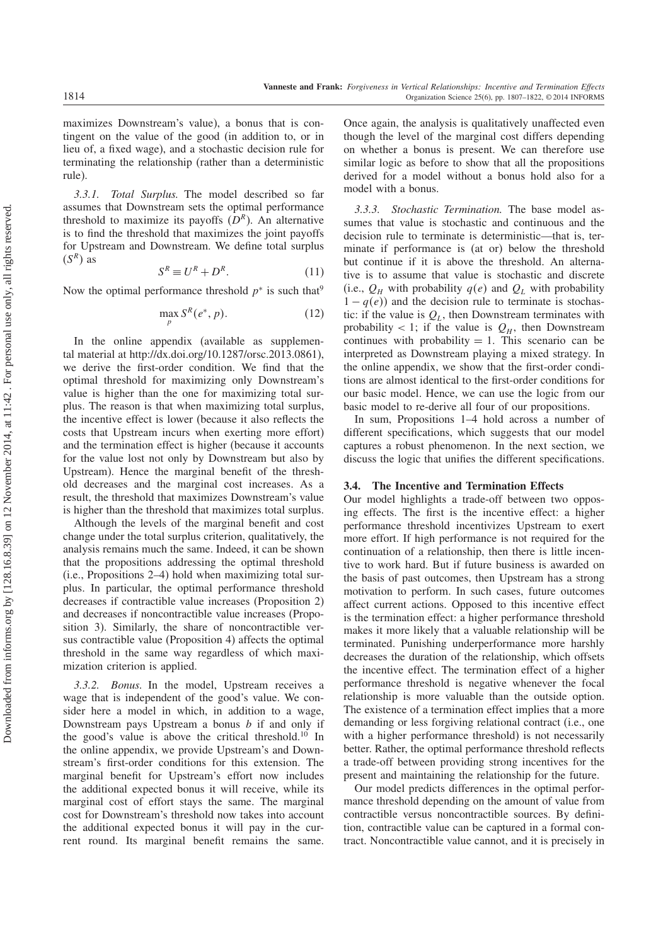maximizes Downstream's value), a bonus that is contingent on the value of the good (in addition to, or in lieu of, a fixed wage), and a stochastic decision rule for terminating the relationship (rather than a deterministic rule).

*3.3.1. Total Surplus.* The model described so far assumes that Downstream sets the optimal performance threshold to maximize its payoffs  $(D<sup>R</sup>)$ . An alternative is to find the threshold that maximizes the joint payoffs for Upstream and Downstream. We define total surplus  $(S^R)$  as

$$
S^R \equiv U^R + D^R. \tag{11}
$$

Now the optimal performance threshold  $p^*$  is such that<sup>9</sup>

$$
\max_{p} S^{R}(e^*, p). \tag{12}
$$

In the online appendix (available as supplemental material at http://dx.doi.org/10.1287/orsc.2013.0861), we derive the first-order condition. We find that the optimal threshold for maximizing only Downstream's value is higher than the one for maximizing total surplus. The reason is that when maximizing total surplus, the incentive effect is lower (because it also reflects the costs that Upstream incurs when exerting more effort) and the termination effect is higher (because it accounts for the value lost not only by Downstream but also by Upstream). Hence the marginal benefit of the threshold decreases and the marginal cost increases. As a result, the threshold that maximizes Downstream's value is higher than the threshold that maximizes total surplus.

Although the levels of the marginal benefit and cost change under the total surplus criterion, qualitatively, the analysis remains much the same. Indeed, it can be shown that the propositions addressing the optimal threshold (i.e., Propositions 2–4) hold when maximizing total surplus. In particular, the optimal performance threshold decreases if contractible value increases (Proposition 2) and decreases if noncontractible value increases (Proposition 3). Similarly, the share of noncontractible versus contractible value (Proposition 4) affects the optimal threshold in the same way regardless of which maximization criterion is applied.

*3.3.2. Bonus.* In the model, Upstream receives a wage that is independent of the good's value. We consider here a model in which, in addition to a wage, Downstream pays Upstream a bonus  $b$  if and only if the good's value is above the critical threshold.<sup>10</sup> In the online appendix, we provide Upstream's and Downstream's first-order conditions for this extension. The marginal benefit for Upstream's effort now includes the additional expected bonus it will receive, while its marginal cost of effort stays the same. The marginal cost for Downstream's threshold now takes into account the additional expected bonus it will pay in the current round. Its marginal benefit remains the same.

Once again, the analysis is qualitatively unaffected even though the level of the marginal cost differs depending on whether a bonus is present. We can therefore use similar logic as before to show that all the propositions derived for a model without a bonus hold also for a model with a bonus.

*3.3.3. Stochastic Termination.* The base model assumes that value is stochastic and continuous and the decision rule to terminate is deterministic—that is, terminate if performance is (at or) below the threshold but continue if it is above the threshold. An alternative is to assume that value is stochastic and discrete (i.e.,  $Q_H$  with probability  $q(e)$  and  $Q_L$  with probability  $1 - q(e)$ ) and the decision rule to terminate is stochastic: if the value is  $Q<sub>L</sub>$ , then Downstream terminates with probability < 1; if the value is  $Q_H$ , then Downstream continues with probability  $= 1$ . This scenario can be interpreted as Downstream playing a mixed strategy. In the online appendix, we show that the first-order conditions are almost identical to the first-order conditions for our basic model. Hence, we can use the logic from our basic model to re-derive all four of our propositions.

In sum, Propositions 1–4 hold across a number of different specifications, which suggests that our model captures a robust phenomenon. In the next section, we discuss the logic that unifies the different specifications.

### 3.4. The Incentive and Termination Effects

Our model highlights a trade-off between two opposing effects. The first is the incentive effect: a higher performance threshold incentivizes Upstream to exert more effort. If high performance is not required for the continuation of a relationship, then there is little incentive to work hard. But if future business is awarded on the basis of past outcomes, then Upstream has a strong motivation to perform. In such cases, future outcomes affect current actions. Opposed to this incentive effect is the termination effect: a higher performance threshold makes it more likely that a valuable relationship will be terminated. Punishing underperformance more harshly decreases the duration of the relationship, which offsets the incentive effect. The termination effect of a higher performance threshold is negative whenever the focal relationship is more valuable than the outside option. The existence of a termination effect implies that a more demanding or less forgiving relational contract (i.e., one with a higher performance threshold) is not necessarily better. Rather, the optimal performance threshold reflects a trade-off between providing strong incentives for the present and maintaining the relationship for the future.

Our model predicts differences in the optimal performance threshold depending on the amount of value from contractible versus noncontractible sources. By definition, contractible value can be captured in a formal contract. Noncontractible value cannot, and it is precisely in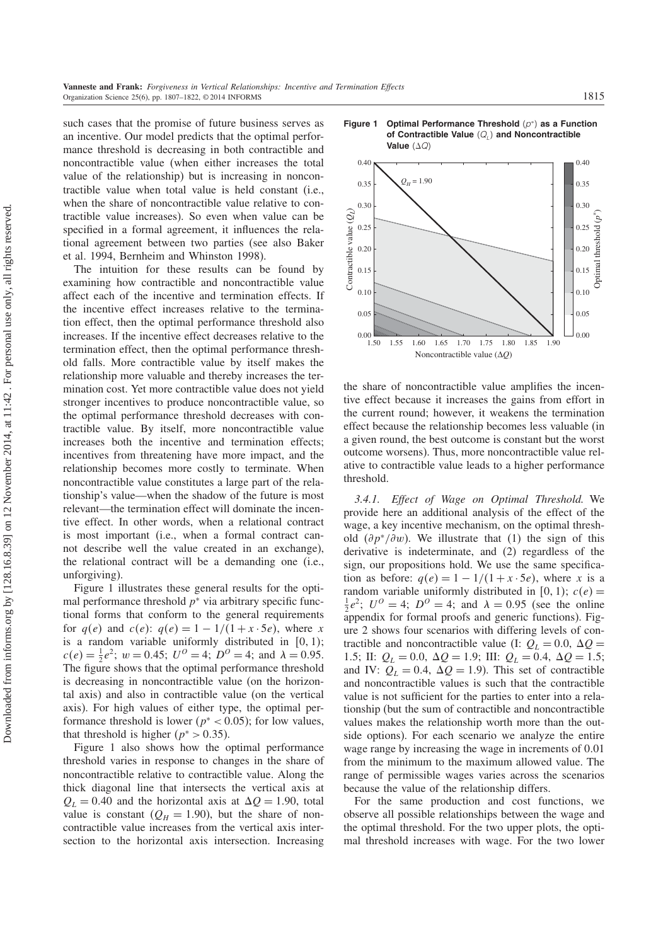such cases that the promise of future business serves as an incentive. Our model predicts that the optimal performance threshold is decreasing in both contractible and noncontractible value (when either increases the total value of the relationship) but is increasing in noncontractible value when total value is held constant (i.e., when the share of noncontractible value relative to contractible value increases). So even when value can be specified in a formal agreement, it influences the relational agreement between two parties (see also Baker et al. 1994, Bernheim and Whinston 1998).

The intuition for these results can be found by examining how contractible and noncontractible value affect each of the incentive and termination effects. If the incentive effect increases relative to the termination effect, then the optimal performance threshold also increases. If the incentive effect decreases relative to the termination effect, then the optimal performance threshold falls. More contractible value by itself makes the relationship more valuable and thereby increases the termination cost. Yet more contractible value does not yield stronger incentives to produce noncontractible value, so the optimal performance threshold decreases with contractible value. By itself, more noncontractible value increases both the incentive and termination effects; incentives from threatening have more impact, and the relationship becomes more costly to terminate. When noncontractible value constitutes a large part of the relationship's value—when the shadow of the future is most relevant—the termination effect will dominate the incentive effect. In other words, when a relational contract is most important (i.e., when a formal contract cannot describe well the value created in an exchange), the relational contract will be a demanding one (i.e., unforgiving).

Figure 1 illustrates these general results for the optimal performance threshold  $p^*$  via arbitrary specific functional forms that conform to the general requirements for  $q(e)$  and  $c(e)$ :  $q(e) = 1 - 1/(1 + x \cdot 5e)$ , where x is a random variable uniformly distributed in  $[0, 1)$ ;  $c(e) = \frac{1}{2}e^2$ ;  $w = 0.45$ ;  $U^0 = 4$ ;  $D^0 = 4$ ; and  $\lambda = 0.95$ . The figure shows that the optimal performance threshold is decreasing in noncontractible value (on the horizontal axis) and also in contractible value (on the vertical axis). For high values of either type, the optimal performance threshold is lower ( $p^* < 0.05$ ); for low values, that threshold is higher ( $p^* > 0.35$ ).

Figure 1 also shows how the optimal performance threshold varies in response to changes in the share of noncontractible relative to contractible value. Along the thick diagonal line that intersects the vertical axis at  $Q_L = 0.40$  and the horizontal axis at  $\Delta Q = 1.90$ , total value is constant  $(Q_H = 1.90)$ , but the share of noncontractible value increases from the vertical axis intersection to the horizontal axis intersection. Increasing





the share of noncontractible value amplifies the incentive effect because it increases the gains from effort in the current round; however, it weakens the termination effect because the relationship becomes less valuable (in a given round, the best outcome is constant but the worst outcome worsens). Thus, more noncontractible value relative to contractible value leads to a higher performance threshold.

*3.4.1. Effect of Wage on Optimal Threshold.* We provide here an additional analysis of the effect of the wage, a key incentive mechanism, on the optimal threshold  $(\partial p^*/\partial w)$ . We illustrate that (1) the sign of this derivative is indeterminate, and (2) regardless of the sign, our propositions hold. We use the same specification as before:  $q(e) = 1 - 1/(1 + x \cdot 5e)$ , where x is a random variable uniformly distributed in [0, 1);  $c(e) =$ <br> $\frac{1}{2}e^2$ .  $U^0 = 4$ ;  $D^0 = 4$ ; and  $\lambda = 0.95$  (see the optime  $\frac{1}{2}e^2$ ;  $U^0 = 4$ ;  $D^0 = 4$ ; and  $\lambda = 0.95$  (see the online appendix for formal proofs and generic functions). Figure 2 shows four scenarios with differing levels of contractible and noncontractible value (I:  $Q_L = 0.0$ ,  $\Delta Q =$ 1.5; II:  $Q_L = 0.0$ ,  $\Delta Q = 1.9$ ; III:  $Q_L = 0.4$ ,  $\Delta Q = 1.5$ ; and IV:  $Q_I = 0.4$ ,  $\Delta Q = 1.9$ ). This set of contractible and noncontractible values is such that the contractible value is not sufficient for the parties to enter into a relationship (but the sum of contractible and noncontractible values makes the relationship worth more than the outside options). For each scenario we analyze the entire wage range by increasing the wage in increments of 0.01 from the minimum to the maximum allowed value. The range of permissible wages varies across the scenarios because the value of the relationship differs.

For the same production and cost functions, we observe all possible relationships between the wage and the optimal threshold. For the two upper plots, the optimal threshold increases with wage. For the two lower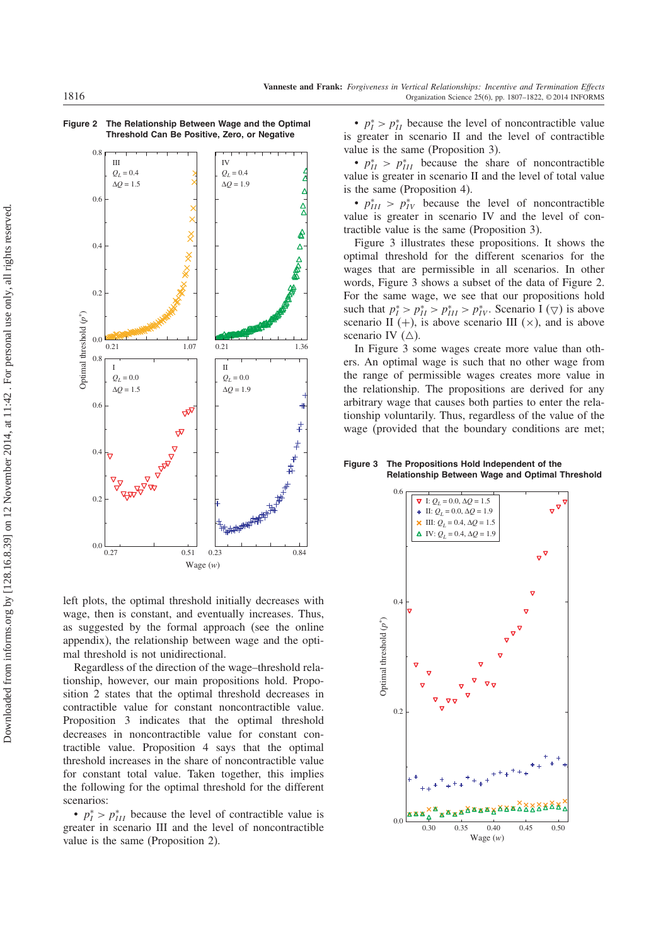

Figure 2 The Relationship Between Wage and the Optimal Threshold Can Be Positive, Zero, or Negative

left plots, the optimal threshold initially decreases with wage, then is constant, and eventually increases. Thus, as suggested by the formal approach (see the online appendix), the relationship between wage and the optimal threshold is not unidirectional.

Regardless of the direction of the wage–threshold relationship, however, our main propositions hold. Proposition 2 states that the optimal threshold decreases in contractible value for constant noncontractible value. Proposition 3 indicates that the optimal threshold decreases in noncontractible value for constant contractible value. Proposition 4 says that the optimal threshold increases in the share of noncontractible value for constant total value. Taken together, this implies the following for the optimal threshold for the different scenarios:

•  $p_I^* > p_{III}^*$  because the level of contractible value is greater in scenario III and the level of noncontractible value is the same (Proposition 2).

•  $p_I^* > p_{II}^*$  because the level of noncontractible value is greater in scenario II and the level of contractible value is the same (Proposition 3).

•  $p_{II}^* > p_{III}^*$  because the share of noncontractible value is greater in scenario II and the level of total value is the same (Proposition 4).

•  $p_{III}^* > p_{IV}^*$  because the level of noncontractible value is greater in scenario IV and the level of contractible value is the same (Proposition 3).

Figure 3 illustrates these propositions. It shows the optimal threshold for the different scenarios for the wages that are permissible in all scenarios. In other words, Figure 3 shows a subset of the data of Figure 2. For the same wage, we see that our propositions hold such that  $p_I^* > p_{II}^* > p_{III}^* > p_{IV}^*$ . Scenario I ( $\bigtriangledown$ ) is above scenario II (+), is above scenario III  $(x)$ , and is above scenario IV  $(\triangle)$ .

In Figure 3 some wages create more value than others. An optimal wage is such that no other wage from the range of permissible wages creates more value in the relationship. The propositions are derived for any arbitrary wage that causes both parties to enter the relationship voluntarily. Thus, regardless of the value of the wage (provided that the boundary conditions are met;

Figure 3 The Propositions Hold Independent of the Relationship Between Wage and Optimal Threshold

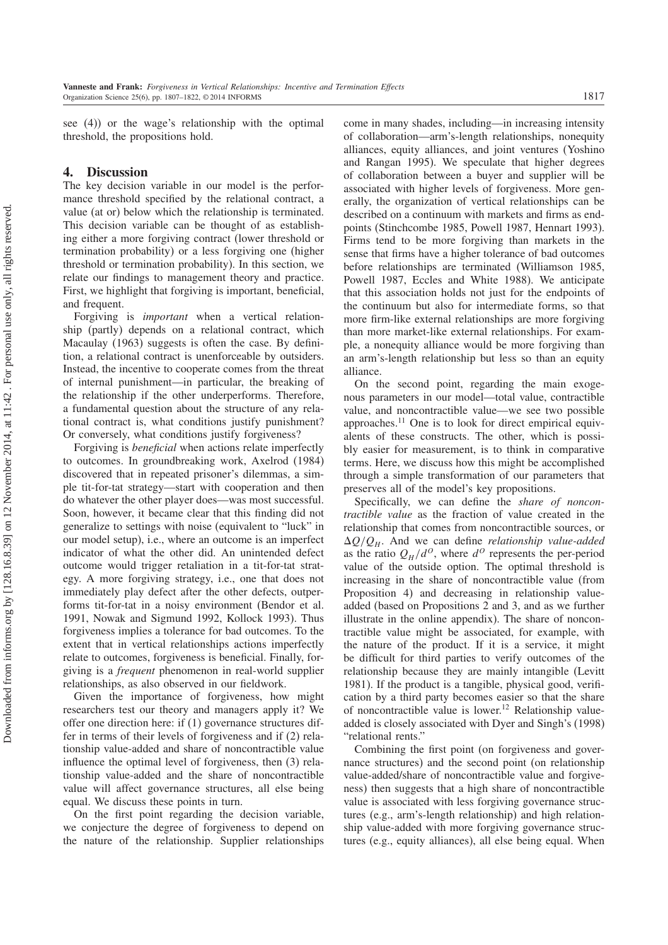see (4)) or the wage's relationship with the optimal threshold, the propositions hold.

## 4. Discussion

The key decision variable in our model is the performance threshold specified by the relational contract, a value (at or) below which the relationship is terminated. This decision variable can be thought of as establishing either a more forgiving contract (lower threshold or termination probability) or a less forgiving one (higher threshold or termination probability). In this section, we relate our findings to management theory and practice. First, we highlight that forgiving is important, beneficial, and frequent.

Forgiving is *important* when a vertical relationship (partly) depends on a relational contract, which Macaulay (1963) suggests is often the case. By definition, a relational contract is unenforceable by outsiders. Instead, the incentive to cooperate comes from the threat of internal punishment—in particular, the breaking of the relationship if the other underperforms. Therefore, a fundamental question about the structure of any relational contract is, what conditions justify punishment? Or conversely, what conditions justify forgiveness?

Forgiving is *beneficial* when actions relate imperfectly to outcomes. In groundbreaking work, Axelrod (1984) discovered that in repeated prisoner's dilemmas, a simple tit-for-tat strategy—start with cooperation and then do whatever the other player does—was most successful. Soon, however, it became clear that this finding did not generalize to settings with noise (equivalent to "luck" in our model setup), i.e., where an outcome is an imperfect indicator of what the other did. An unintended defect outcome would trigger retaliation in a tit-for-tat strategy. A more forgiving strategy, i.e., one that does not immediately play defect after the other defects, outperforms tit-for-tat in a noisy environment (Bendor et al. 1991, Nowak and Sigmund 1992, Kollock 1993). Thus forgiveness implies a tolerance for bad outcomes. To the extent that in vertical relationships actions imperfectly relate to outcomes, forgiveness is beneficial. Finally, forgiving is a *frequent* phenomenon in real-world supplier relationships, as also observed in our fieldwork.

Given the importance of forgiveness, how might researchers test our theory and managers apply it? We offer one direction here: if (1) governance structures differ in terms of their levels of forgiveness and if (2) relationship value-added and share of noncontractible value influence the optimal level of forgiveness, then (3) relationship value-added and the share of noncontractible value will affect governance structures, all else being equal. We discuss these points in turn.

On the first point regarding the decision variable, we conjecture the degree of forgiveness to depend on the nature of the relationship. Supplier relationships come in many shades, including—in increasing intensity of collaboration—arm's-length relationships, nonequity alliances, equity alliances, and joint ventures (Yoshino and Rangan 1995). We speculate that higher degrees of collaboration between a buyer and supplier will be associated with higher levels of forgiveness. More generally, the organization of vertical relationships can be described on a continuum with markets and firms as endpoints (Stinchcombe 1985, Powell 1987, Hennart 1993). Firms tend to be more forgiving than markets in the sense that firms have a higher tolerance of bad outcomes before relationships are terminated (Williamson 1985, Powell 1987, Eccles and White 1988). We anticipate that this association holds not just for the endpoints of the continuum but also for intermediate forms, so that more firm-like external relationships are more forgiving than more market-like external relationships. For example, a nonequity alliance would be more forgiving than an arm's-length relationship but less so than an equity alliance.

On the second point, regarding the main exogenous parameters in our model—total value, contractible value, and noncontractible value—we see two possible approaches.<sup>11</sup> One is to look for direct empirical equivalents of these constructs. The other, which is possibly easier for measurement, is to think in comparative terms. Here, we discuss how this might be accomplished through a simple transformation of our parameters that preserves all of the model's key propositions.

Specifically, we can define the *share of noncontractible value* as the fraction of value created in the relationship that comes from noncontractible sources, or  $\Delta Q/Q_H$ . And we can define *relationship value-added* as the ratio  $Q_H / d^O$ , where  $d^O$  represents the per-period value of the outside option. The optimal threshold is increasing in the share of noncontractible value (from Proposition 4) and decreasing in relationship valueadded (based on Propositions 2 and 3, and as we further illustrate in the online appendix). The share of noncontractible value might be associated, for example, with the nature of the product. If it is a service, it might be difficult for third parties to verify outcomes of the relationship because they are mainly intangible (Levitt 1981). If the product is a tangible, physical good, verification by a third party becomes easier so that the share of noncontractible value is lower.12 Relationship valueadded is closely associated with Dyer and Singh's (1998) "relational rents."

Combining the first point (on forgiveness and governance structures) and the second point (on relationship value-added/share of noncontractible value and forgiveness) then suggests that a high share of noncontractible value is associated with less forgiving governance structures (e.g., arm's-length relationship) and high relationship value-added with more forgiving governance structures (e.g., equity alliances), all else being equal. When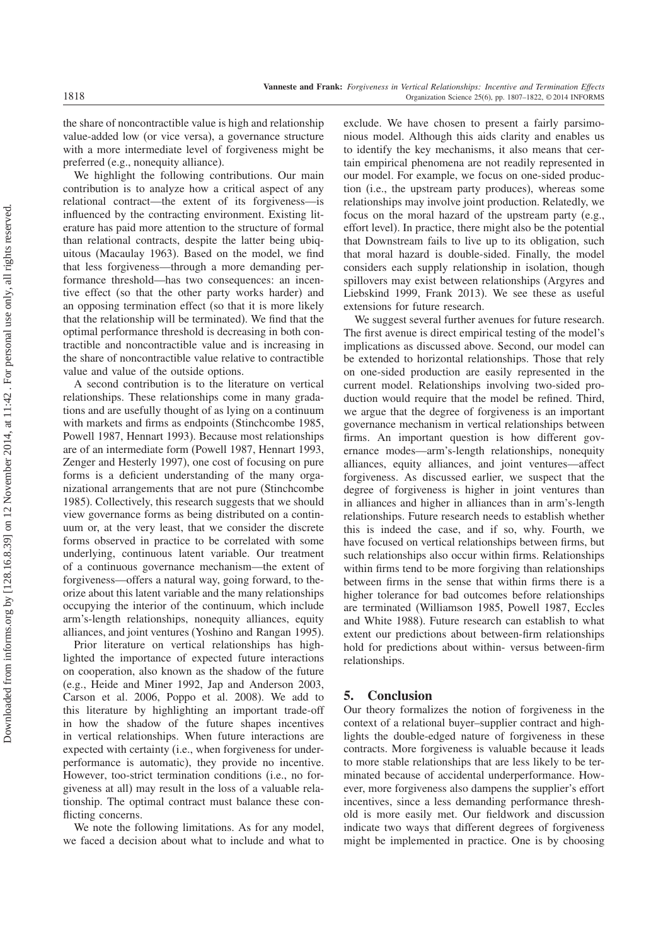the share of noncontractible value is high and relationship value-added low (or vice versa), a governance structure with a more intermediate level of forgiveness might be preferred (e.g., nonequity alliance).

We highlight the following contributions. Our main contribution is to analyze how a critical aspect of any relational contract—the extent of its forgiveness—is influenced by the contracting environment. Existing literature has paid more attention to the structure of formal than relational contracts, despite the latter being ubiquitous (Macaulay 1963). Based on the model, we find that less forgiveness—through a more demanding performance threshold—has two consequences: an incentive effect (so that the other party works harder) and an opposing termination effect (so that it is more likely that the relationship will be terminated). We find that the optimal performance threshold is decreasing in both contractible and noncontractible value and is increasing in the share of noncontractible value relative to contractible value and value of the outside options.

A second contribution is to the literature on vertical relationships. These relationships come in many gradations and are usefully thought of as lying on a continuum with markets and firms as endpoints (Stinchcombe 1985, Powell 1987, Hennart 1993). Because most relationships are of an intermediate form (Powell 1987, Hennart 1993, Zenger and Hesterly 1997), one cost of focusing on pure forms is a deficient understanding of the many organizational arrangements that are not pure (Stinchcombe 1985). Collectively, this research suggests that we should view governance forms as being distributed on a continuum or, at the very least, that we consider the discrete forms observed in practice to be correlated with some underlying, continuous latent variable. Our treatment of a continuous governance mechanism—the extent of forgiveness—offers a natural way, going forward, to theorize about this latent variable and the many relationships occupying the interior of the continuum, which include arm's-length relationships, nonequity alliances, equity alliances, and joint ventures (Yoshino and Rangan 1995).

Prior literature on vertical relationships has highlighted the importance of expected future interactions on cooperation, also known as the shadow of the future (e.g., Heide and Miner 1992, Jap and Anderson 2003, Carson et al. 2006, Poppo et al. 2008). We add to this literature by highlighting an important trade-off in how the shadow of the future shapes incentives in vertical relationships. When future interactions are expected with certainty (i.e., when forgiveness for underperformance is automatic), they provide no incentive. However, too-strict termination conditions (i.e., no forgiveness at all) may result in the loss of a valuable relationship. The optimal contract must balance these conflicting concerns.

We note the following limitations. As for any model, we faced a decision about what to include and what to exclude. We have chosen to present a fairly parsimonious model. Although this aids clarity and enables us to identify the key mechanisms, it also means that certain empirical phenomena are not readily represented in our model. For example, we focus on one-sided production (i.e., the upstream party produces), whereas some relationships may involve joint production. Relatedly, we focus on the moral hazard of the upstream party (e.g., effort level). In practice, there might also be the potential that Downstream fails to live up to its obligation, such that moral hazard is double-sided. Finally, the model considers each supply relationship in isolation, though spillovers may exist between relationships (Argyres and Liebskind 1999, Frank 2013). We see these as useful extensions for future research.

We suggest several further avenues for future research. The first avenue is direct empirical testing of the model's implications as discussed above. Second, our model can be extended to horizontal relationships. Those that rely on one-sided production are easily represented in the current model. Relationships involving two-sided production would require that the model be refined. Third, we argue that the degree of forgiveness is an important governance mechanism in vertical relationships between firms. An important question is how different governance modes—arm's-length relationships, nonequity alliances, equity alliances, and joint ventures—affect forgiveness. As discussed earlier, we suspect that the degree of forgiveness is higher in joint ventures than in alliances and higher in alliances than in arm's-length relationships. Future research needs to establish whether this is indeed the case, and if so, why. Fourth, we have focused on vertical relationships between firms, but such relationships also occur within firms. Relationships within firms tend to be more forgiving than relationships between firms in the sense that within firms there is a higher tolerance for bad outcomes before relationships are terminated (Williamson 1985, Powell 1987, Eccles and White 1988). Future research can establish to what extent our predictions about between-firm relationships hold for predictions about within- versus between-firm relationships.

# 5. Conclusion

Our theory formalizes the notion of forgiveness in the context of a relational buyer–supplier contract and highlights the double-edged nature of forgiveness in these contracts. More forgiveness is valuable because it leads to more stable relationships that are less likely to be terminated because of accidental underperformance. However, more forgiveness also dampens the supplier's effort incentives, since a less demanding performance threshold is more easily met. Our fieldwork and discussion indicate two ways that different degrees of forgiveness might be implemented in practice. One is by choosing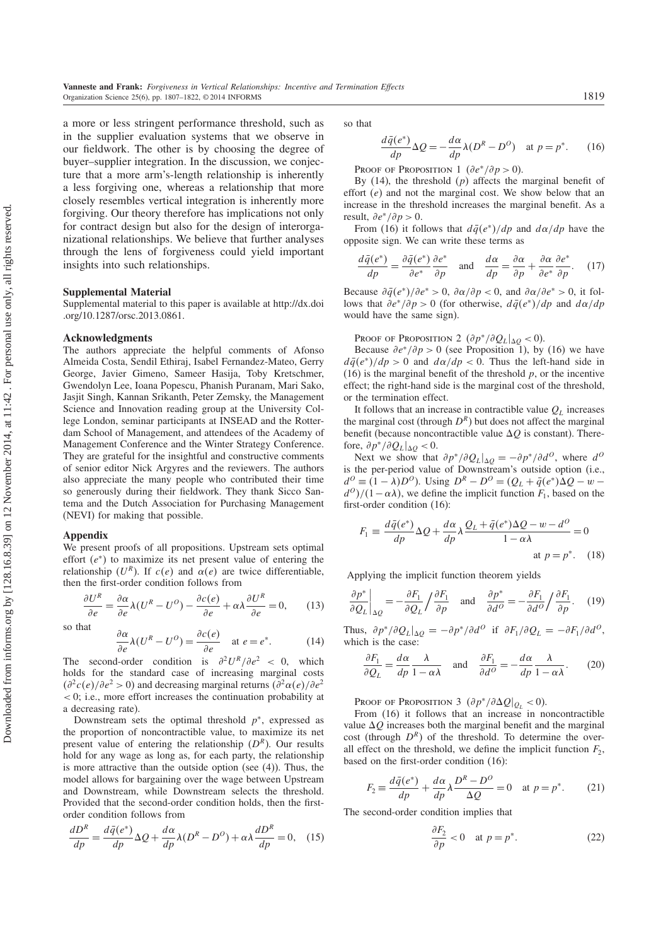Vanneste and Frank: *Forgiveness in Vertical Relationships: Incentive and Termination Effects* Organization Science 25(6), pp. 1807–1822,  $\oslash$  2014 INFORMS 1819

a more or less stringent performance threshold, such as in the supplier evaluation systems that we observe in our fieldwork. The other is by choosing the degree of buyer–supplier integration. In the discussion, we conjecture that a more arm's-length relationship is inherently a less forgiving one, whereas a relationship that more closely resembles vertical integration is inherently more forgiving. Our theory therefore has implications not only for contract design but also for the design of interorganizational relationships. We believe that further analyses through the lens of forgiveness could yield important insights into such relationships.

#### Supplemental Material

Supplemental material to this paper is available at http://dx.doi .org/10.1287/orsc.2013.0861.

#### Acknowledgments

The authors appreciate the helpful comments of Afonso Almeida Costa, Sendil Ethiraj, Isabel Fernandez-Mateo, Gerry George, Javier Gimeno, Sameer Hasija, Toby Kretschmer, Gwendolyn Lee, Ioana Popescu, Phanish Puranam, Mari Sako, Jasjit Singh, Kannan Srikanth, Peter Zemsky, the Management Science and Innovation reading group at the University College London, seminar participants at INSEAD and the Rotterdam School of Management, and attendees of the Academy of Management Conference and the Winter Strategy Conference. They are grateful for the insightful and constructive comments of senior editor Nick Argyres and the reviewers. The authors also appreciate the many people who contributed their time so generously during their fieldwork. They thank Sicco Santema and the Dutch Association for Purchasing Management (NEVI) for making that possible.

### Appendix

We present proofs of all propositions. Upstream sets optimal effort  $(e^*)$  to maximize its net present value of entering the relationship ( $U^R$ ). If  $c(e)$  and  $\alpha(e)$  are twice differentiable, then the first-order condition follows from

$$
\frac{\partial U^R}{\partial e} = \frac{\partial \alpha}{\partial e} \lambda (U^R - U^O) - \frac{\partial c(e)}{\partial e} + \alpha \lambda \frac{\partial U^R}{\partial e} = 0, \quad (13)
$$

so that

$$
\frac{\partial \alpha}{\partial e} \lambda (U^R - U^O) = \frac{\partial c(e)}{\partial e} \quad \text{at } e = e^*.
$$
 (14)

The second-order condition is  $\partial^2 U^R / \partial e^2 < 0$ , which holds for the standard case of increasing marginal costs  $\left(\frac{\partial^2 c(e)}{\partial e^2} > 0\right)$  and decreasing marginal returns  $\left(\frac{\partial^2 \alpha(e)}{\partial e^2}\right)$ < 0; i.e., more effort increases the continuation probability at a decreasing rate).

Downstream sets the optimal threshold  $p^*$ , expressed as the proportion of noncontractible value, to maximize its net present value of entering the relationship  $(D<sup>R</sup>)$ . Our results hold for any wage as long as, for each party, the relationship is more attractive than the outside option (see (4)). Thus, the model allows for bargaining over the wage between Upstream and Downstream, while Downstream selects the threshold. Provided that the second-order condition holds, then the firstorder condition follows from

$$
\frac{dD^R}{dp} = \frac{d\bar{q}(e^*)}{dp} \Delta Q + \frac{d\alpha}{dp} \lambda (D^R - D^O) + \alpha \lambda \frac{dD^R}{dp} = 0, \quad (15)
$$

so that

$$
\frac{d\bar{q}(e^*)}{dp}\Delta Q = -\frac{d\alpha}{dp}\lambda(D^R - D^O) \quad \text{at } p = p^*.
$$
 (16)

PROOF OF PROPOSITION 1  $(\partial e^*/\partial p > 0)$ .

By  $(14)$ , the threshold  $(p)$  affects the marginal benefit of effort (e) and not the marginal cost. We show below that an increase in the threshold increases the marginal benefit. As a result,  $\partial e^*/\partial p > 0$ .

From (16) it follows that  $d\bar{q}(e^*)/dp$  and  $d\alpha/dp$  have the opposite sign. We can write these terms as

$$
\frac{d\bar{q}(e^*)}{dp} = \frac{\partial \bar{q}(e^*)}{\partial e^*} \frac{\partial e^*}{\partial p} \quad \text{and} \quad \frac{d\alpha}{dp} = \frac{\partial \alpha}{\partial p} + \frac{\partial \alpha}{\partial e^*} \frac{\partial e^*}{\partial p}. \quad (17)
$$

Because  $\partial \bar{q}(e^*)/\partial e^* > 0$ ,  $\partial \alpha/\partial p < 0$ , and  $\partial \alpha/\partial e^* > 0$ , it follows that  $\partial e^*/\partial p > 0$  (for otherwise,  $d\bar{q}(e^*)/dp$  and  $d\alpha/dp$ would have the same sign).

Proof of Proposition 2  $(\partial p^* / \partial Q_L |_{\Delta Q} < 0)$ .

Because  $\partial e^*/\partial p > 0$  (see Proposition 1), by (16) we have  $d\bar{q}(e^*)/dp > 0$  and  $d\alpha/dp < 0$ . Thus the left-hand side in  $(16)$  is the marginal benefit of the threshold p, or the incentive effect; the right-hand side is the marginal cost of the threshold, or the termination effect.

It follows that an increase in contractible value  $Q_L$  increases the marginal cost (through  $D<sup>R</sup>$ ) but does not affect the marginal benefit (because noncontractible value  $\Delta Q$  is constant). Therefore,  $\partial p^* / \partial Q_L |_{\Delta Q} < 0$ .

Next we show that  $\partial p^* / \partial Q_L |_{\Delta Q} = -\partial p^* / \partial d^O$ , where  $d^O$ is the per-period value of Downstream's outside option (i.e.,  $d^{O} = (1 - \lambda)D^{O}$ . Using  $D^{R} - D^{O} = (Q_{L} + \bar{q}(e^{*})\Delta Q - w$  $d^O$ )/(1– $\alpha\lambda$ ), we define the implicit function  $F_1$ , based on the first-order condition (16):

$$
F_1 \equiv \frac{d\bar{q}(e^*)}{dp} \Delta Q + \frac{d\alpha}{dp} \lambda \frac{Q_L + \bar{q}(e^*) \Delta Q - w - d^0}{1 - \alpha \lambda} = 0
$$
  
at  $p = p^*$ . (18)

Applying the implicit function theorem yields

$$
\frac{\partial p^*}{\partial Q_L}\bigg|_{\Delta Q} = -\frac{\partial F_1}{\partial Q_L} / \frac{\partial F_1}{\partial p} \quad \text{and} \quad \frac{\partial p^*}{\partial d^O} = -\frac{\partial F_1}{\partial d^O} / \frac{\partial F_1}{\partial p}.
$$
 (19)

Thus,  $\partial p^*/\partial Q_L|_{\Delta Q} = -\partial p^*/\partial d^O$  if  $\partial F_1/\partial Q_L = -\partial F_1/\partial d^O$ , which is the case:

$$
\frac{\partial F_1}{\partial Q_L} = \frac{d\alpha}{dp} \frac{\lambda}{1 - \alpha \lambda} \quad \text{and} \quad \frac{\partial F_1}{\partial d^O} = -\frac{d\alpha}{dp} \frac{\lambda}{1 - \alpha \lambda}.
$$
 (20)

Proof of Proposition 3  $(\partial p^*/\partial \Delta Q|_{Q_L} < 0)$ .

From  $(16)$  it follows that an increase in noncontractible value  $\Delta Q$  increases both the marginal benefit and the marginal cost (through  $D<sup>R</sup>$ ) of the threshold. To determine the overall effect on the threshold, we define the implicit function  $F_2$ , based on the first-order condition (16):

$$
F_2 \equiv \frac{d\bar{q}(e^*)}{dp} + \frac{d\alpha}{dp} \lambda \frac{D^R - D^O}{\Delta Q} = 0 \quad \text{at } p = p^*.
$$
 (21)

The second-order condition implies that

$$
\frac{\partial F_2}{\partial p} < 0 \quad \text{at } p = p^*.\tag{22}
$$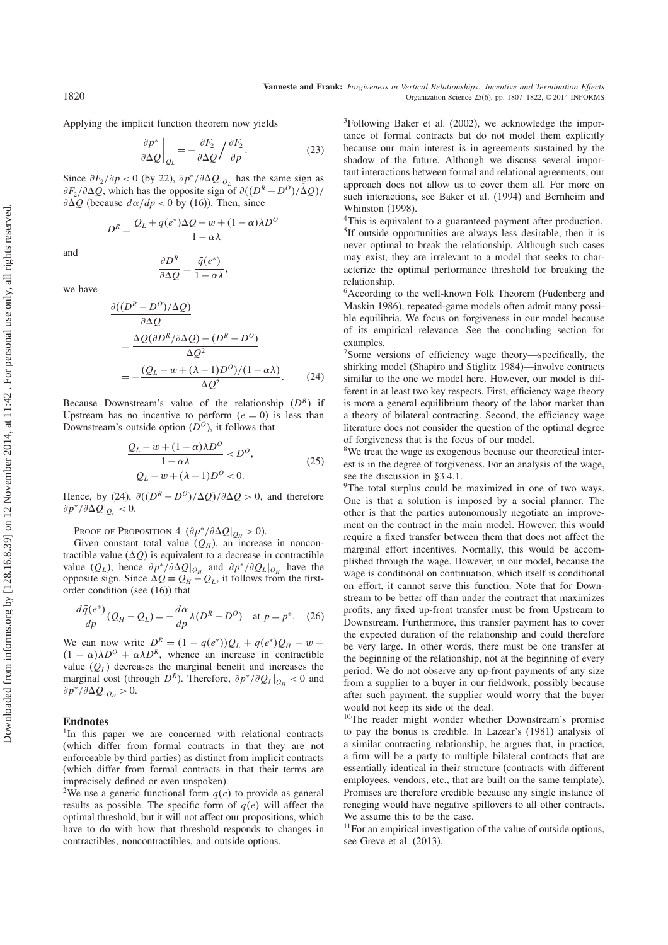Applying the implicit function theorem now yields

$$
\left. \frac{\partial p^*}{\partial \Delta Q} \right|_{Q_L} = -\frac{\partial F_2}{\partial \Delta Q} / \frac{\partial F_2}{\partial p}.
$$
 (23)

Since  $\partial F_2/\partial p < 0$  (by 22),  $\partial p^*/\partial \Delta Q|_{Q_L}$  has the same sign as  $\partial F_2/\partial \Delta Q$ , which has the opposite sign of  $\partial ((D^R - D^O)/\Delta Q)/Q$  $\partial \Delta Q$  (because  $d\alpha/dp < 0$  by (16)). Then, since

$$
D^{R} = \frac{Q_{L} + \bar{q}(e^{*})\Delta Q - w + (1 - \alpha)\lambda D^{O}}{1 - \alpha\lambda}
$$

and

we have

$$
\frac{\partial D^R}{\partial \Delta Q} = \frac{\bar{q}(e^*)}{1 - \alpha \lambda},
$$

$$
\frac{\partial((D^R - D^O)/\Delta Q)}{\partial \Delta Q} = \frac{\Delta Q(\partial D^R/\partial \Delta Q) - (D^R - D^O)}{\Delta Q^2} = -\frac{(Q_L - w + (\lambda - 1)D^O)/(1 - \alpha\lambda)}{\Delta Q^2}.
$$
 (24)

Because Downstream's value of the relationship  $(D<sup>R</sup>)$  if Upstream has no incentive to perform  $(e = 0)$  is less than Downstream's outside option  $(D^O)$ , it follows that

$$
\frac{Q_L - w + (1 - \alpha)\lambda D^0}{1 - \alpha \lambda} < D^0,
$$
\n
$$
Q_L - w + (\lambda - 1)D^0 < 0.
$$
\n
$$
(25)
$$

Hence, by (24),  $\partial((D^R - D^O)/\Delta Q)/\partial\Delta Q > 0$ , and therefore  $\partial p^*/\partial \Delta Q|_{Q_L} < 0.$ 

Proof of Proposition 4  $(\partial p^*/\partial \Delta Q|_{Q_H} > 0)$ .

Given constant total value  $(Q_H)$ , an increase in noncontractible value  $(\Delta Q)$  is equivalent to a decrease in contractible value  $(Q_L)$ ; hence  $\partial p^* / \partial \Delta Q|_{Q_H}$  and  $\partial p^* / \partial Q_L|_{Q_H}$  have the opposite sign. Since  $\Delta Q = Q_H - Q_L$ , it follows from the firstorder condition (see (16)) that

$$
\frac{d\bar{q}(e^*)}{dp}(Q_H - Q_L) = -\frac{d\alpha}{dp}\lambda(D^R - D^O) \quad \text{at } p = p^*.
$$
 (26)

We can now write  $D^R = (1 - \bar{q}(e^*))Q_L + \bar{q}(e^*)Q_H - w +$  $(1 - \alpha)\lambda D^0 + \alpha\lambda D^R$ , whence an increase in contractible value  $(Q_L)$  decreases the marginal benefit and increases the marginal cost (through  $D^R$ ). Therefore,  $\partial p^* / \partial Q_L|_{Q_H} < 0$  and  $\partial p^* / \partial \Delta Q \vert_{Q_H} > 0.$ 

#### Endnotes

<sup>1</sup>In this paper we are concerned with relational contracts (which differ from formal contracts in that they are not enforceable by third parties) as distinct from implicit contracts (which differ from formal contracts in that their terms are imprecisely defined or even unspoken).

<sup>2</sup>We use a generic functional form  $q(e)$  to provide as general results as possible. The specific form of  $q(e)$  will affect the optimal threshold, but it will not affect our propositions, which have to do with how that threshold responds to changes in contractibles, noncontractibles, and outside options.

3Following Baker et al. (2002), we acknowledge the importance of formal contracts but do not model them explicitly because our main interest is in agreements sustained by the shadow of the future. Although we discuss several important interactions between formal and relational agreements, our approach does not allow us to cover them all. For more on such interactions, see Baker et al. (1994) and Bernheim and Whinston (1998).

4This is equivalent to a guaranteed payment after production. <sup>5</sup>If outside opportunities are always less desirable, then it is never optimal to break the relationship. Although such cases may exist, they are irrelevant to a model that seeks to characterize the optimal performance threshold for breaking the relationship.

<sup>6</sup>According to the well-known Folk Theorem (Fudenberg and Maskin 1986), repeated-game models often admit many possible equilibria. We focus on forgiveness in our model because of its empirical relevance. See the concluding section for examples.

7Some versions of efficiency wage theory—specifically, the shirking model (Shapiro and Stiglitz 1984)—involve contracts similar to the one we model here. However, our model is different in at least two key respects. First, efficiency wage theory is more a general equilibrium theory of the labor market than a theory of bilateral contracting. Second, the efficiency wage literature does not consider the question of the optimal degree of forgiveness that is the focus of our model.

<sup>8</sup>We treat the wage as exogenous because our theoretical interest is in the degree of forgiveness. For an analysis of the wage, see the discussion in §3.4.1.

<sup>9</sup>The total surplus could be maximized in one of two ways. One is that a solution is imposed by a social planner. The other is that the parties autonomously negotiate an improvement on the contract in the main model. However, this would require a fixed transfer between them that does not affect the marginal effort incentives. Normally, this would be accomplished through the wage. However, in our model, because the wage is conditional on continuation, which itself is conditional on effort, it cannot serve this function. Note that for Downstream to be better off than under the contract that maximizes profits, any fixed up-front transfer must be from Upstream to Downstream. Furthermore, this transfer payment has to cover the expected duration of the relationship and could therefore be very large. In other words, there must be one transfer at the beginning of the relationship, not at the beginning of every period. We do not observe any up-front payments of any size from a supplier to a buyer in our fieldwork, possibly because after such payment, the supplier would worry that the buyer would not keep its side of the deal.

10The reader might wonder whether Downstream's promise to pay the bonus is credible. In Lazear's (1981) analysis of a similar contracting relationship, he argues that, in practice, a firm will be a party to multiple bilateral contracts that are essentially identical in their structure (contracts with different employees, vendors, etc., that are built on the same template). Promises are therefore credible because any single instance of reneging would have negative spillovers to all other contracts. We assume this to be the case.

<sup>11</sup>For an empirical investigation of the value of outside options, see Greve et al. (2013).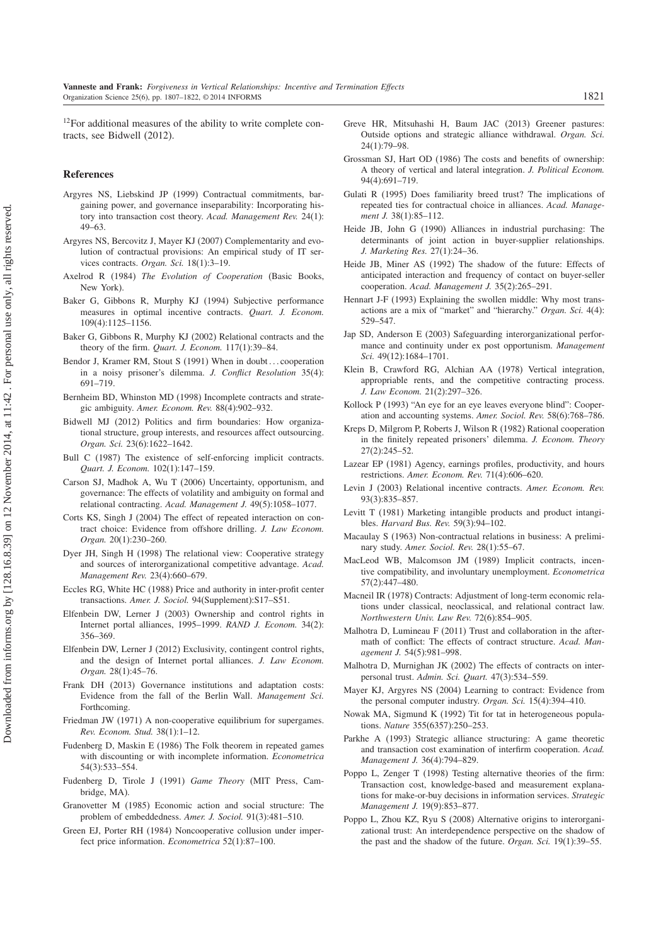<sup>12</sup>For additional measures of the ability to write complete contracts, see Bidwell (2012).

#### References

- Argyres NS, Liebskind JP (1999) Contractual commitments, bargaining power, and governance inseparability: Incorporating history into transaction cost theory. *Acad. Management Rev.* 24(1): 49–63.
- Argyres NS, Bercovitz J, Mayer KJ (2007) Complementarity and evolution of contractual provisions: An empirical study of IT services contracts. *Organ. Sci.* 18(1):3–19.
- Axelrod R (1984) *The Evolution of Cooperation* (Basic Books, New York).
- Baker G, Gibbons R, Murphy KJ (1994) Subjective performance measures in optimal incentive contracts. *Quart. J. Econom.* 109(4):1125–1156.
- Baker G, Gibbons R, Murphy KJ (2002) Relational contracts and the theory of the firm. *Quart. J. Econom.* 117(1):39–84.
- Bendor J, Kramer RM, Stout S (1991) When in doubt...cooperation in a noisy prisoner's dilemma. *J. Conflict Resolution* 35(4): 691–719.
- Bernheim BD, Whinston MD (1998) Incomplete contracts and strategic ambiguity. *Amer. Econom. Rev.* 88(4):902–932.
- Bidwell MJ (2012) Politics and firm boundaries: How organizational structure, group interests, and resources affect outsourcing. *Organ. Sci.* 23(6):1622–1642.
- Bull C (1987) The existence of self-enforcing implicit contracts. *Quart. J. Econom.* 102(1):147–159.
- Carson SJ, Madhok A, Wu T (2006) Uncertainty, opportunism, and governance: The effects of volatility and ambiguity on formal and relational contracting. *Acad. Management J.* 49(5):1058–1077.
- Corts KS, Singh J (2004) The effect of repeated interaction on contract choice: Evidence from offshore drilling. *J. Law Econom. Organ.* 20(1):230–260.
- Dyer JH, Singh H (1998) The relational view: Cooperative strategy and sources of interorganizational competitive advantage. *Acad. Management Rev.* 23(4):660–679.
- Eccles RG, White HC (1988) Price and authority in inter-profit center transactions. *Amer. J. Sociol.* 94(Supplement):S17–S51.
- Elfenbein DW, Lerner J (2003) Ownership and control rights in Internet portal alliances, 1995–1999. *RAND J. Econom.* 34(2): 356–369.
- Elfenbein DW, Lerner J (2012) Exclusivity, contingent control rights, and the design of Internet portal alliances. *J. Law Econom. Organ.* 28(1):45–76.
- Frank DH (2013) Governance institutions and adaptation costs: Evidence from the fall of the Berlin Wall. *Management Sci.* Forthcoming.
- Friedman JW (1971) A non-cooperative equilibrium for supergames. *Rev. Econom. Stud.* 38(1):1–12.
- Fudenberg D, Maskin E (1986) The Folk theorem in repeated games with discounting or with incomplete information. *Econometrica* 54(3):533–554.
- Fudenberg D, Tirole J (1991) *Game Theory* (MIT Press, Cambridge, MA).
- Granovetter M (1985) Economic action and social structure: The problem of embeddedness. *Amer. J. Sociol.* 91(3):481–510.
- Green EJ, Porter RH (1984) Noncooperative collusion under imperfect price information. *Econometrica* 52(1):87–100.
- Greve HR, Mitsuhashi H, Baum JAC (2013) Greener pastures: Outside options and strategic alliance withdrawal. *Organ. Sci.* 24(1):79–98.
- Grossman SJ, Hart OD (1986) The costs and benefits of ownership: A theory of vertical and lateral integration. *J. Political Econom.* 94(4):691–719.
- Gulati R (1995) Does familiarity breed trust? The implications of repeated ties for contractual choice in alliances. *Acad. Management J.* 38(1):85–112.
- Heide JB, John G (1990) Alliances in industrial purchasing: The determinants of joint action in buyer-supplier relationships. *J. Marketing Res.* 27(1):24–36.
- Heide JB, Miner AS (1992) The shadow of the future: Effects of anticipated interaction and frequency of contact on buyer-seller cooperation. *Acad. Management J.* 35(2):265–291.
- Hennart J-F (1993) Explaining the swollen middle: Why most transactions are a mix of "market" and "hierarchy." *Organ. Sci.* 4(4): 529–547.
- Jap SD, Anderson E (2003) Safeguarding interorganizational performance and continuity under ex post opportunism. *Management Sci.* 49(12):1684–1701.
- Klein B, Crawford RG, Alchian AA (1978) Vertical integration, appropriable rents, and the competitive contracting process. *J. Law Econom.* 21(2):297–326.
- Kollock P (1993) "An eye for an eye leaves everyone blind": Cooperation and accounting systems. *Amer. Sociol. Rev.* 58(6):768–786.
- Kreps D, Milgrom P, Roberts J, Wilson R (1982) Rational cooperation in the finitely repeated prisoners' dilemma. *J. Econom. Theory* 27(2):245–52.
- Lazear EP (1981) Agency, earnings profiles, productivity, and hours restrictions. *Amer. Econom. Rev.* 71(4):606–620.
- Levin J (2003) Relational incentive contracts. *Amer. Econom. Rev.* 93(3):835–857.
- Levitt T (1981) Marketing intangible products and product intangibles. *Harvard Bus. Rev.* 59(3):94–102.
- Macaulay S (1963) Non-contractual relations in business: A preliminary study. *Amer. Sociol. Rev.* 28(1):55–67.
- MacLeod WB, Malcomson JM (1989) Implicit contracts, incentive compatibility, and involuntary unemployment. *Econometrica* 57(2):447–480.
- Macneil IR (1978) Contracts: Adjustment of long-term economic relations under classical, neoclassical, and relational contract law. *Northwestern Univ. Law Rev.* 72(6):854–905.
- Malhotra D, Lumineau F (2011) Trust and collaboration in the aftermath of conflict: The effects of contract structure. *Acad. Management J.* 54(5):981–998.
- Malhotra D, Murnighan JK (2002) The effects of contracts on interpersonal trust. *Admin. Sci. Quart.* 47(3):534–559.
- Mayer KJ, Argyres NS (2004) Learning to contract: Evidence from the personal computer industry. *Organ. Sci.* 15(4):394–410.
- Nowak MA, Sigmund K (1992) Tit for tat in heterogeneous populations. *Nature* 355(6357):250–253.
- Parkhe A (1993) Strategic alliance structuring: A game theoretic and transaction cost examination of interfirm cooperation. *Acad. Management J.* 36(4):794–829.
- Poppo L, Zenger T (1998) Testing alternative theories of the firm: Transaction cost, knowledge-based and measurement explanations for make-or-buy decisions in information services. *Strategic Management J.* 19(9):853–877.
- Poppo L, Zhou KZ, Ryu S (2008) Alternative origins to interorganizational trust: An interdependence perspective on the shadow of the past and the shadow of the future. *Organ. Sci.* 19(1):39–55.